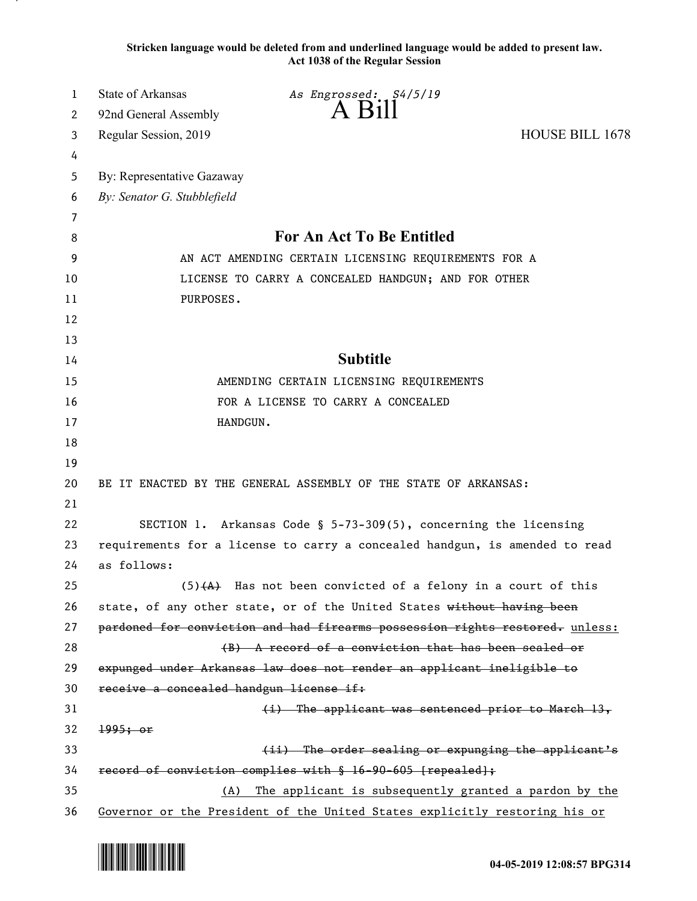**Stricken language would be deleted from and underlined language would be added to present law. Act 1038 of the Regular Session**

| 1  | <b>State of Arkansas</b>                                                    | As Engrossed: S4/5/19                                                        |                        |  |
|----|-----------------------------------------------------------------------------|------------------------------------------------------------------------------|------------------------|--|
| 2  | 92nd General Assembly                                                       | $A$ $B111$                                                                   |                        |  |
| 3  | Regular Session, 2019                                                       |                                                                              | <b>HOUSE BILL 1678</b> |  |
| 4  |                                                                             |                                                                              |                        |  |
| 5  | By: Representative Gazaway                                                  |                                                                              |                        |  |
| 6  | By: Senator G. Stubblefield                                                 |                                                                              |                        |  |
| 7  |                                                                             |                                                                              |                        |  |
| 8  | <b>For An Act To Be Entitled</b>                                            |                                                                              |                        |  |
| 9  | AN ACT AMENDING CERTAIN LICENSING REQUIREMENTS FOR A                        |                                                                              |                        |  |
| 10 | LICENSE TO CARRY A CONCEALED HANDGUN; AND FOR OTHER                         |                                                                              |                        |  |
| 11 | PURPOSES.                                                                   |                                                                              |                        |  |
| 12 |                                                                             |                                                                              |                        |  |
| 13 |                                                                             |                                                                              |                        |  |
| 14 | <b>Subtitle</b>                                                             |                                                                              |                        |  |
| 15 | AMENDING CERTAIN LICENSING REQUIREMENTS                                     |                                                                              |                        |  |
| 16 | FOR A LICENSE TO CARRY A CONCEALED                                          |                                                                              |                        |  |
| 17 | HANDGUN.                                                                    |                                                                              |                        |  |
| 18 |                                                                             |                                                                              |                        |  |
| 19 |                                                                             |                                                                              |                        |  |
| 20 | BE IT ENACTED BY THE GENERAL ASSEMBLY OF THE STATE OF ARKANSAS:             |                                                                              |                        |  |
| 21 |                                                                             |                                                                              |                        |  |
| 22 |                                                                             | SECTION 1. Arkansas Code § 5-73-309(5), concerning the licensing             |                        |  |
| 23 | requirements for a license to carry a concealed handgun, is amended to read |                                                                              |                        |  |
| 24 | as follows:                                                                 |                                                                              |                        |  |
| 25 |                                                                             | $(5)$ $(4)$ Has not been convicted of a felony in a court of this            |                        |  |
| 26 |                                                                             | state, of any other state, or of the United States without having been       |                        |  |
| 27 |                                                                             | pardoned for conviction and had firearms possession rights restored. unless: |                        |  |
| 28 |                                                                             | (B) A record of a conviction that has been sealed or                         |                        |  |
| 29 | expunged under Arkansas law does not render an applicant ineligible to      |                                                                              |                        |  |
| 30 | receive a concealed handgun license if:                                     |                                                                              |                        |  |
| 31 |                                                                             | $(i)$ The applicant was sentenced prior to March 13,                         |                        |  |
| 32 | 1995; or                                                                    |                                                                              |                        |  |
| 33 |                                                                             | (ii) The order sealing or expunging the applicant's                          |                        |  |
| 34 | record of conviction complies with § 16-90-605 [repealed];                  |                                                                              |                        |  |
| 35 | The applicant is subsequently granted a pardon by the<br>(A)                |                                                                              |                        |  |
| 36 |                                                                             | Governor or the President of the United States explicitly restoring his or   |                        |  |